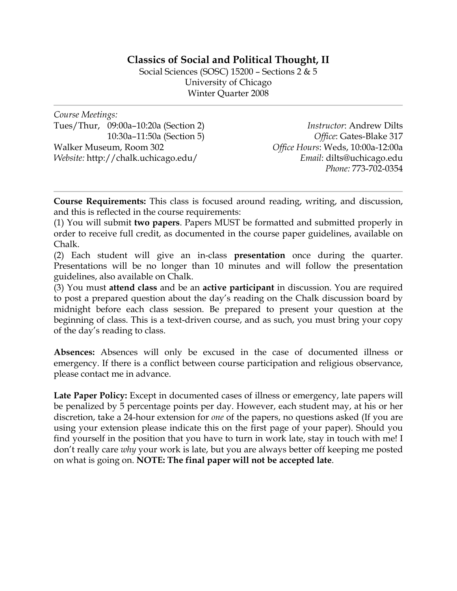# **Classics of Social and Political Thought, II**

Social Sciences (SOSC) 15200 – Sections 2 & 5 University of Chicago Winter Quarter 2008

*Course Meetings:*  Tues/Thur, 09:00a–10:20a (Section 2) 10:30a–11:50a (Section 5) Walker Museum, Room 302 *Website:* http://chalk.uchicago.edu/

*Instructor*: Andrew Dilts *Office*: Gates-Blake 317 *Office Hours*: Weds, 10:00a-12:00a *Email*: dilts@uchicago.edu *Phone:* 773-702-0354

**Course Requirements:** This class is focused around reading, writing, and discussion, and this is reflected in the course requirements:

(1) You will submit **two papers**. Papers MUST be formatted and submitted properly in order to receive full credit, as documented in the course paper guidelines, available on Chalk.

(2) Each student will give an in-class **presentation** once during the quarter. Presentations will be no longer than 10 minutes and will follow the presentation guidelines, also available on Chalk.

(3) You must **attend class** and be an **active participant** in discussion. You are required to post a prepared question about the day's reading on the Chalk discussion board by midnight before each class session. Be prepared to present your question at the beginning of class. This is a text-driven course, and as such, you must bring your copy of the day's reading to class.

**Absences:** Absences will only be excused in the case of documented illness or emergency. If there is a conflict between course participation and religious observance, please contact me in advance.

Late Paper Policy: Except in documented cases of illness or emergency, late papers will be penalized by 5 percentage points per day. However, each student may, at his or her discretion, take a 24-hour extension for *one* of the papers, no questions asked (If you are using your extension please indicate this on the first page of your paper). Should you find yourself in the position that you have to turn in work late, stay in touch with me! I don't really care *why* your work is late, but you are always better off keeping me posted on what is going on. **NOTE: The final paper will not be accepted late**.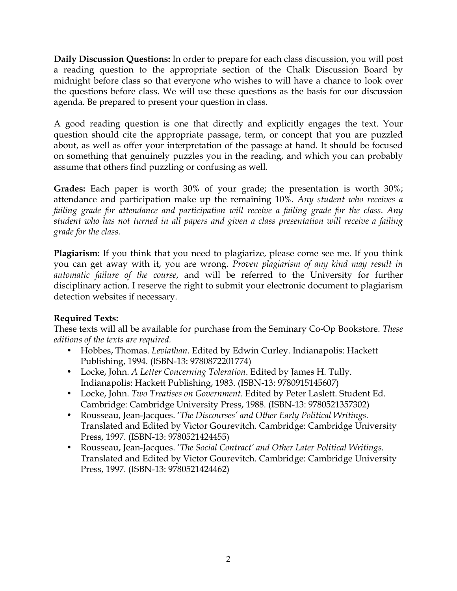**Daily Discussion Questions:** In order to prepare for each class discussion, you will post a reading question to the appropriate section of the Chalk Discussion Board by midnight before class so that everyone who wishes to will have a chance to look over the questions before class. We will use these questions as the basis for our discussion agenda. Be prepared to present your question in class.

A good reading question is one that directly and explicitly engages the text. Your question should cite the appropriate passage, term, or concept that you are puzzled about, as well as offer your interpretation of the passage at hand. It should be focused on something that genuinely puzzles you in the reading, and which you can probably assume that others find puzzling or confusing as well.

**Grades:** Each paper is worth 30% of your grade; the presentation is worth 30%; attendance and participation make up the remaining 10%. *Any student who receives a failing grade for attendance and participation will receive a failing grade for the class*. *Any student who has not turned in all papers and given a class presentation will receive a failing grade for the class.*

**Plagiarism:** If you think that you need to plagiarize, please come see me. If you think you can get away with it, you are wrong. *Proven plagiarism of any kind may result in automatic failure of the course*, and will be referred to the University for further disciplinary action. I reserve the right to submit your electronic document to plagiarism detection websites if necessary.

## **Required Texts:**

These texts will all be available for purchase from the Seminary Co-Op Bookstore. *These editions of the texts are required.*

- Hobbes, Thomas. *Leviathan.* Edited by Edwin Curley. Indianapolis: Hackett Publishing, 1994. (ISBN-13: 9780872201774)
- Locke, John. *A Letter Concerning Toleration*. Edited by James H. Tully. Indianapolis: Hackett Publishing, 1983. (ISBN-13: 9780915145607)
- Locke, John. *Two Treatises on Government*. Edited by Peter Laslett. Student Ed. Cambridge: Cambridge University Press, 1988. (ISBN-13: 9780521357302)
- Rousseau, Jean-Jacques. '*The Discourses' and Other Early Political Writings.* Translated and Edited by Victor Gourevitch. Cambridge: Cambridge University Press, 1997. (ISBN-13: 9780521424455)
- Rousseau, Jean-Jacques. '*The Social Contract' and Other Later Political Writings.* Translated and Edited by Victor Gourevitch. Cambridge: Cambridge University Press, 1997. (ISBN-13: 9780521424462)